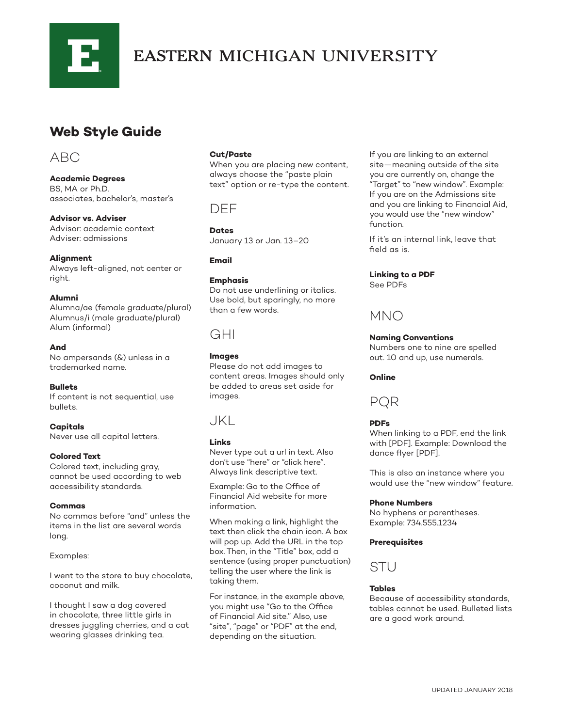

# **EASTERN MICHIGAN UNIVERSITY**

## **Web Style Guide**

## ABC

**Academic Degrees** BS, MA or Ph.D. associates, bachelor's, master's

**Advisor vs. Adviser** Advisor: academic context Adviser: admissions

#### **Alignment**

Always left-aligned, not center or right.

#### **Alumni**

Alumna/ae (female graduate/plural) Alumnus/i (male graduate/plural) Alum (informal)

#### **And**

No ampersands (&) unless in a trademarked name.

#### **Bullets**

If content is not sequential, use bullets.

**Capitals** Never use all capital letters.

#### **Colored Text**

Colored text, including gray, cannot be used according to web accessibility standards.

#### **Commas**

No commas before "and" unless the items in the list are several words long.

#### Examples:

I went to the store to buy chocolate, coconut and milk.

I thought I saw a dog covered in chocolate, three little girls in dresses juggling cherries, and a cat wearing glasses drinking tea.

#### **Cut/Paste**

When you are placing new content, always choose the "paste plain text" option or re-type the content.

### DEF

**Dates** January 13 or Jan. 13–20

**Email**

#### **Emphasis**

Do not use underlining or italics. Use bold, but sparingly, no more than a few words.

## GHI

**Images**

Please do not add images to content areas. Images should only be added to areas set aside for images.

### JKL

#### **Links**

Never type out a url in text. Also don't use "here" or "click here". Always link descriptive text.

Example: Go to the Office of Financial Aid website for more information.

When making a link, highlight the text then click the chain icon. A box will pop up. Add the URL in the top box. Then, in the "Title" box, add a sentence (using proper punctuation) telling the user where the link is taking them.

For instance, in the example above, you might use "Go to the Office of Financial Aid site." Also, use "site", "page" or "PDF" at the end, depending on the situation.

If you are linking to an external site—meaning outside of the site you are currently on, change the "Target" to "new window". Example: If you are on the Admissions site and you are linking to Financial Aid, you would use the "new window" function.

If it's an internal link, leave that field as is.

#### **Linking to a PDF**

See PDFs

## MNO

#### **Naming Conventions**

Numbers one to nine are spelled out. 10 and up, use numerals.

#### **Online**

PQR

#### **PDFs**

When linking to a PDF, end the link with [PDF]. Example: Download the dance flyer [PDF].

This is also an instance where you would use the "new window" feature.

#### **Phone Numbers**

No hyphens or parentheses. Example: 734.555.1234

#### **Prerequisites**



#### **Tables**

Because of accessibility standards, tables cannot be used. Bulleted lists are a good work around.